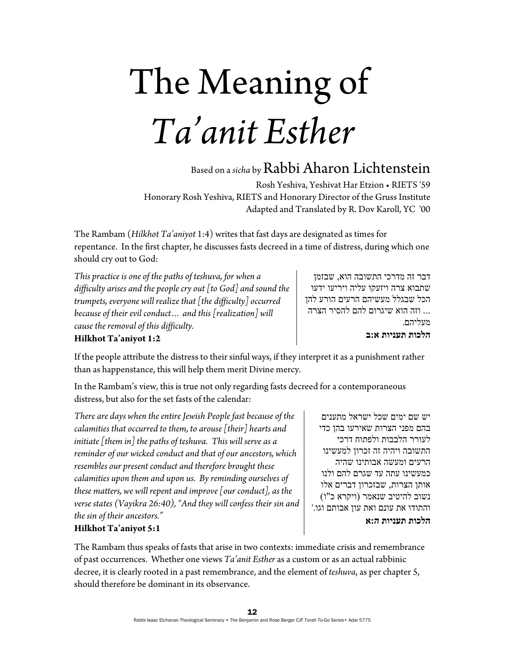# The Meaning of *Ta'anit Esther*

## Based on a *sicha* by Rabbi Aharon Lichtenstein

Rosh Yeshiva, Yeshivat Har Etzion • RIETS '59 Honorary Rosh Yeshiva, RIETS and Honorary Director of the Gruss Institute Adapted and Translated by R. Dov Karoll, YC '00

The Rambam (*Hilkhot Ta'aniyot* 1:4) writes that fast days are designated as times for repentance. In the first chapter, he discusses fasts decreed in a time of distress, during which one should cry out to God:

*This practice is one of the paths of teshuva, for when a difficulty arises and the people cry out [to God] and sound the trumpets, everyone will realize that [the difficulty] occurred because of their evil conduct… and this [realization] will cause the removal of this difficulty.* 

דבר זה מדרכי התשובה הוא, שבזמן שתבוא צרה ויזעקו עליה ויריעו ידעו הכל שבגלל מעשיהם הרעים הורע להן ... וזה הוא שיגרום להם להסיר הצרה מעליהם. **הלכות תעניות א:ב**

### **Hilkhot Ta'aniyot 1:2**

If the people attribute the distress to their sinful ways, if they interpret it as a punishment rather than as happenstance, this will help them merit Divine mercy.

In the Rambam's view, this is true not only regarding fasts decreed for a contemporaneous distress, but also for the set fasts of the calendar:

*There are days when the entire Jewish People fast because of the calamities that occurred to them, to arouse [their] hearts and initiate [them in] the paths of teshuva. This will serve as a reminder of our wicked conduct and that of our ancestors, which resembles our present conduct and therefore brought these calamities upon them and upon us. By reminding ourselves of these matters, we will repent and improve [our conduct], as the verse states (Vayikra 26:40), "And they will confess their sin and the sin of their ancestors."* 

### **Hilkhot Ta'aniyot 5:1**

The Rambam thus speaks of fasts that arise in two contexts: immediate crisis and remembrance of past occurrences. Whether one views *Ta'anit Esther* as a custom or as an actual rabbinic decree, it is clearly rooted in a past remembrance, and the element of *teshuva*, as per chapter 5, should therefore be dominant in its observance.

יש שם ימים שכל ישראל מתענים בהם מפני הצרות שאירעו בהן כדי לעורר הלבבות ולפתוח דרכי התשובה ויהיה זה זכרון למעשינו הרעים ומעשה אבותינו שהיה כמעשינו עתה עד שגרם להם ולנו אותן הצרות, שבזכרון דברים אלו נשוב להיטיב שנאמר (ויקרא כ"ו) והתודו את עונם ואת עון אבותם וגו.' **הלכות תעניות ה:א**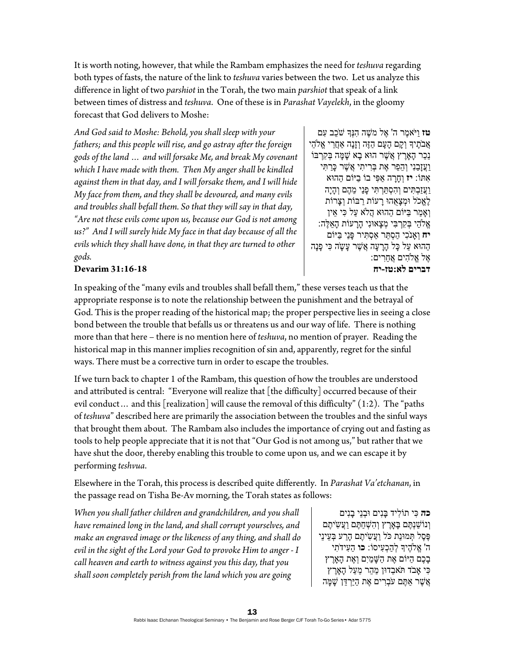It is worth noting, however, that while the Rambam emphasizes the need for *teshuva* regarding both types of fasts, the nature of the link to *teshuva* varies between the two. Let us analyze this difference in light of two *parshiot* in the Torah, the two main *parshiot* that speak of a link between times of distress and *teshuva*. One of these is in *Parashat Vayelekh*, in the gloomy forecast that God delivers to Moshe:

*And God said to Moshe: Behold, you shall sleep with your fathers; and this people will rise, and go astray after the foreign gods of the land … and will forsake Me, and break My covenant which I have made with them. Then My anger shall be kindled against them in that day, and I will forsake them, and I will hide My face from them, and they shall be devoured, and many evils and troubles shall befall them. So that they will say in that day, "Are not these evils come upon us, because our God is not among us?" And I will surely hide My face in that day because of all the evils which they shall have done, in that they are turned to other gods.* 

**טז** ויֹּאמֵר ה' אֵל מֹשֵׁה הִנְּךְ שֹׁכב עם ְאֲבֹתֶיִךְ וְקָם הָעָם הַזֶּה וְזָנָה אַחֲרֵי אֱלֹהֵי נֵכַר הָאַרֵץ אֲשֶׁר הוּא בָא שַׁמַּה בִּקְרַבּוֹ וַעֲזָבַנִי וְהֵפֵר אֶת בְּרִיתִי אֲשֶׁר כָּרַתִּי ִאתּוֹ: **יז** ְו ָחָרה ַא ִפּי בוֹ ַביּוֹם ַההוּא ַוַּעֲזַבְתִּים וְהִסְתַּרְתִּי פָּנַי מֵהֶם וְהָיָה ֶלֱאכֹל ְוּמ ָצֻאהוּ ָרעוֹת ַרבּוֹת ְו ָצרוֹת ְו ַאָמר ַבּיּוֹם ַההוּא ֲהֹלא ַעל ִכּי ֵאין ָאֱלֹהֵי בִּקְרַבִּי מְצַאוּנִי הַרַעוֹת הָאֱלֶה: **יח** וְאָנֹכִי הַסְתֵּר אַסְתִּיר פָּנַי בַּיּוֹם ַההוּא ַעל ָכּל ָהָר ָעה ֲא ֶשׁר ָע ָשֹה ִכּי ָפנָה ָאֶל אֱלֹהִים אֲחֱרִים: **דברים לא:טז-יח**

#### **Devarim 31:16-18**

In speaking of the "many evils and troubles shall befall them," these verses teach us that the appropriate response is to note the relationship between the punishment and the betrayal of God. This is the proper reading of the historical map; the proper perspective lies in seeing a close bond between the trouble that befalls us or threatens us and our way of life. There is nothing more than that here – there is no mention here of *teshuva*, no mention of prayer. Reading the historical map in this manner implies recognition of sin and, apparently, regret for the sinful ways. There must be a corrective turn in order to escape the troubles.

If we turn back to chapter 1 of the Rambam, this question of how the troubles are understood and attributed is central: "Everyone will realize that [the difficulty] occurred because of their evil conduct… and this [realization] will cause the removal of this difficulty"  $(1:2)$ . The "paths" of *teshuva*" described here are primarily the association between the troubles and the sinful ways that brought them about. The Rambam also includes the importance of crying out and fasting as tools to help people appreciate that it is not that "Our God is not among us," but rather that we have shut the door, thereby enabling this trouble to come upon us, and we can escape it by performing *teshvua*.

Elsewhere in the Torah, this process is described quite differently. In *Parashat Va'etchanan*, in the passage read on Tisha Be-Av morning, the Torah states as follows:

*When you shall father children and grandchildren, and you shall have remained long in the land, and shall corrupt yourselves, and make an engraved image or the likeness of any thing, and shall do evil in the sight of the Lord your God to provoke Him to anger - I call heaven and earth to witness against you this day, that you shall soon completely perish from the land which you are going* 

**כה** ִכּי ִ תוֹליד ָבּנִים ְוּבנֵי ָבנִים ְו ַ נוֹשׁנְ ֶתּם ָבּ ֶאָרץ ְו ִה ְשׁ ַח ֶתּם ַוֲע ִשֹ ֶיתם ֶפֶּסֶל תְּמוּנַת כֹּל וַעֲשִׂיתֶם הָרַע בְּעֵינֵי ה' ֱא ֶֹלהיָך ְל ַה ְכ ִעיסוֹ: **כו** ַה ִעידֹ ִתי ָבְּכֶם הַיּוֹם אֶת הַשַּׁמַיִם וְאֶת הָאֲרֶץ ִכּי אָבֹד תֹּ ֵאבדוּן ַמ ֵהר ֵמ ַעל ָה ֶאָרץ ָאֲשֶׁר אַתֵּם עֹבְרִים אֶת הַיַּרְדֶּן שַׁמַּה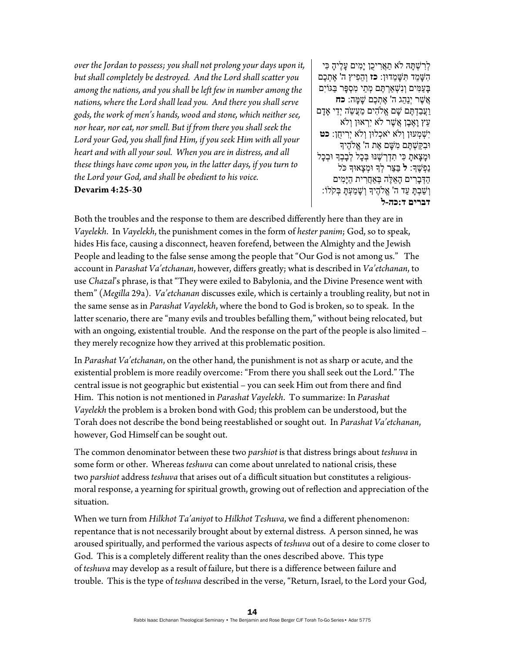*over the Jordan to possess; you shall not prolong your days upon it, but shall completely be destroyed. And the Lord shall scatter you among the nations, and you shall be left few in number among the nations, where the Lord shall lead you. And there you shall serve gods, the work of men's hands, wood and stone, which neither see, nor hear, nor eat, nor smell. But if from there you shall seek the Lord your God, you shall find Him, if you seek Him with all your heart and with all your soul. When you are in distress, and all these things have come upon you, in the latter days, if you turn to the Lord your God, and shall be obedient to his voice.*  **Devarim 4:25-30** 

ַלְרָשְׁתָּהּ לֹא תַאֲרִיכֶן יָמִים עָלֶיהָ כִּי ִה ָשּׁ ֵמד ִתּ ָשּׁ ֵמדוּן: **כז** ְו ֵה ִפיץ ה' ֶא ְת ֶכם ַבַּעֲמִים וְנָשָׁאַרְתֵּם מְתֵי מְסָפֵּר בַּגּוֹיִם ֲא ֶשׁר יְנַ ֵהג ה' ֶא ְת ֶכם ָשׁ ָמּה: **כח** ַוֲע ַב ְד ֶתּם ָשׁם ֱא ִֹלהים ַמֲע ֵשֹה יְֵדי ָאָדם ָעֵץ וַאֶבֶן אֲשֶׁר לֹא יִרְאוּן וְלֹא יִשְׁמְעוּו**ְ** וְלֹא יֹאכְלוּן וְלֹא יְרִיחֻן: **כט** ִוּב ַקּ ְשׁ ֶתּם ִמ ָשּׁם ֶאת ה' ֱא ֶֹלהיָך וּמָצָאת כִּי תִדְרְשָׁנּוּ בְּכָל לְבָבְךָ וּבְכָל נַ ְפ ֶשָׁך: **ל** ַבּ ַצּר ְלָך ְוּמ ָצאוָּך כֹּל ַה ְדּ ָב ִרים ָה ֵא ֶלּה ְבּ ֲאַח ִרית ַהיָּ ִמים ְו ַשׁ ְב ָתּ ַעד ה' ֱא ֶֹלהיָך ְו ָשׁ ַמ ְע ָתּ ְבּקֹלוֹ: **דברים ד:כה-ל**

Both the troubles and the response to them are described differently here than they are in *Vayelekh*. In *Vayelekh*, the punishment comes in the form of *hester panim*; God, so to speak, hides His face, causing a disconnect, heaven forefend, between the Almighty and the Jewish People and leading to the false sense among the people that "Our God is not among us." The account in *Parashat Va'etchanan*, however, differs greatly; what is described in *Va'etchanan*, to use *Chazal*'s phrase, is that "They were exiled to Babylonia, and the Divine Presence went with them" (*Megilla* 29a). *Va'etchanan* discusses exile, which is certainly a troubling reality, but not in the same sense as in *Parashat Vayelekh*, where the bond to God is broken, so to speak. In the latter scenario, there are "many evils and troubles befalling them," without being relocated, but with an ongoing, existential trouble. And the response on the part of the people is also limited – they merely recognize how they arrived at this problematic position.

In *Parashat Va'etchanan*, on the other hand, the punishment is not as sharp or acute, and the existential problem is more readily overcome: "From there you shall seek out the Lord." The central issue is not geographic but existential – you can seek Him out from there and find Him. This notion is not mentioned in *Parashat Vayelekh*. To summarize: In *Parashat Vayelekh* the problem is a broken bond with God; this problem can be understood, but the Torah does not describe the bond being reestablished or sought out. In *Parashat Va'etchanan*, however, God Himself can be sought out.

The common denominator between these two *parshiot* is that distress brings about *teshuva* in some form or other. Whereas *teshuva* can come about unrelated to national crisis, these two *parshiot* address *teshuva* that arises out of a difficult situation but constitutes a religiousmoral response, a yearning for spiritual growth, growing out of reflection and appreciation of the situation.

When we turn from *Hilkhot Ta'aniyot* to *Hilkhot Teshuva*, we find a different phenomenon: repentance that is not necessarily brought about by external distress. A person sinned, he was aroused spiritually, and performed the various aspects of *teshuva* out of a desire to come closer to God. This is a completely different reality than the ones described above. This type of *teshuva* may develop as a result of failure, but there is a difference between failure and trouble. This is the type of *teshuva* described in the verse, "Return, Israel, to the Lord your God,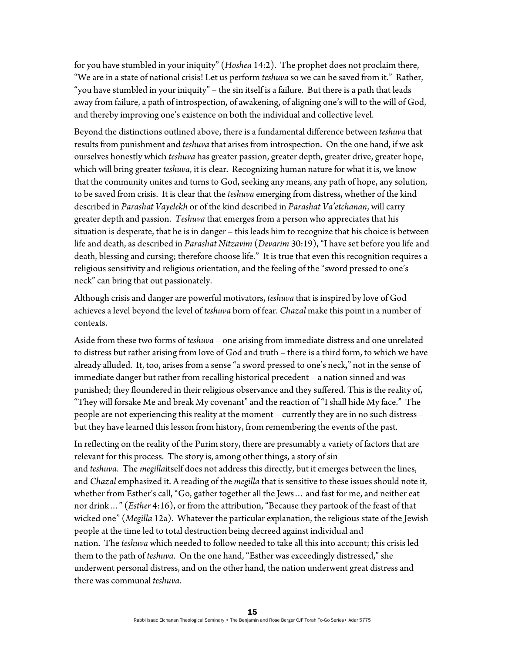for you have stumbled in your iniquity" (*Hoshea* 14:2). The prophet does not proclaim there, "We are in a state of national crisis! Let us perform *teshuva* so we can be saved from it." Rather, "you have stumbled in your iniquity" – the sin itself is a failure. But there is a path that leads away from failure, a path of introspection, of awakening, of aligning one's will to the will of God, and thereby improving one's existence on both the individual and collective level.

Beyond the distinctions outlined above, there is a fundamental difference between *teshuva* that results from punishment and *teshuva* that arises from introspection. On the one hand, if we ask ourselves honestly which *teshuva* has greater passion, greater depth, greater drive, greater hope, which will bring greater *teshuva*, it is clear. Recognizing human nature for what it is, we know that the community unites and turns to God, seeking any means, any path of hope, any solution, to be saved from crisis. It is clear that the *teshuva* emerging from distress, whether of the kind described in *Parashat Vayelekh* or of the kind described in *Parashat Va'etchanan*, will carry greater depth and passion. *Teshuva* that emerges from a person who appreciates that his situation is desperate, that he is in danger – this leads him to recognize that his choice is between life and death, as described in *Parashat Nitzavim* (*Devarim* 30:19), "I have set before you life and death, blessing and cursing; therefore choose life." It is true that even this recognition requires a religious sensitivity and religious orientation, and the feeling of the "sword pressed to one's neck" can bring that out passionately.

Although crisis and danger are powerful motivators, *teshuva* that is inspired by love of God achieves a level beyond the level of *teshuva* born of fear. *Chazal* make this point in a number of contexts.

Aside from these two forms of *teshuva* – one arising from immediate distress and one unrelated to distress but rather arising from love of God and truth – there is a third form, to which we have already alluded. It, too, arises from a sense "a sword pressed to one's neck," not in the sense of immediate danger but rather from recalling historical precedent – a nation sinned and was punished; they floundered in their religious observance and they suffered. This is the reality of, "They will forsake Me and break My covenant" and the reaction of "I shall hide My face." The people are not experiencing this reality at the moment – currently they are in no such distress – but they have learned this lesson from history, from remembering the events of the past.

In reflecting on the reality of the Purim story, there are presumably a variety of factors that are relevant for this process. The story is, among other things, a story of sin and *teshuva*. The *megilla*itself does not address this directly, but it emerges between the lines, and *Chazal* emphasized it. A reading of the *megilla* that is sensitive to these issues should note it, whether from Esther's call, "Go, gather together all the Jews… and fast for me, and neither eat nor drink…" (*Esther* 4:16), or from the attribution, "Because they partook of the feast of that wicked one" (*Megilla* 12a). Whatever the particular explanation, the religious state of the Jewish people at the time led to total destruction being decreed against individual and nation. The *teshuva* which needed to follow needed to take all this into account; this crisis led them to the path of *teshuva*. On the one hand, "Esther was exceedingly distressed," she underwent personal distress, and on the other hand, the nation underwent great distress and there was communal *teshuva*.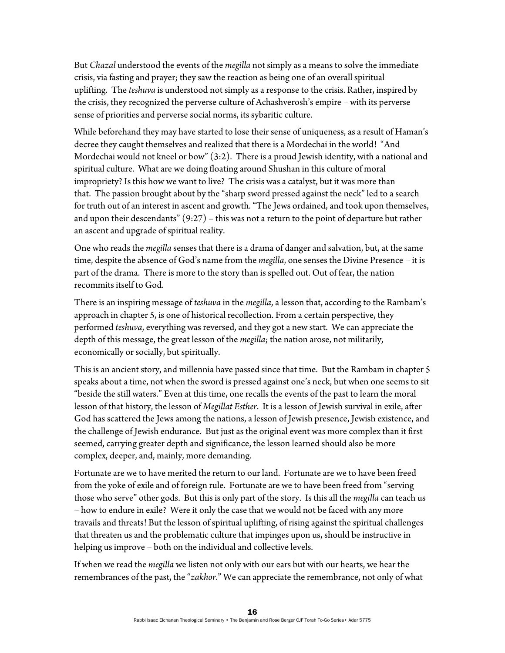But *Chazal* understood the events of the *megilla* not simply as a means to solve the immediate crisis, via fasting and prayer; they saw the reaction as being one of an overall spiritual uplifting. The *teshuva* is understood not simply as a response to the crisis. Rather, inspired by the crisis, they recognized the perverse culture of Achashverosh's empire – with its perverse sense of priorities and perverse social norms, its sybaritic culture.

While beforehand they may have started to lose their sense of uniqueness, as a result of Haman's decree they caught themselves and realized that there is a Mordechai in the world! "And Mordechai would not kneel or bow" (3:2). There is a proud Jewish identity, with a national and spiritual culture. What are we doing floating around Shushan in this culture of moral impropriety? Is this how we want to live? The crisis was a catalyst, but it was more than that. The passion brought about by the "sharp sword pressed against the neck" led to a search for truth out of an interest in ascent and growth. "The Jews ordained, and took upon themselves, and upon their descendants"  $(9:27)$  – this was not a return to the point of departure but rather an ascent and upgrade of spiritual reality.

One who reads the *megilla* senses that there is a drama of danger and salvation, but, at the same time, despite the absence of God's name from the *megilla*, one senses the Divine Presence – it is part of the drama. There is more to the story than is spelled out. Out of fear, the nation recommits itself to God.

There is an inspiring message of *teshuva* in the *megilla*, a lesson that, according to the Rambam's approach in chapter 5, is one of historical recollection. From a certain perspective, they performed *teshuva*, everything was reversed, and they got a new start. We can appreciate the depth of this message, the great lesson of the *megilla*; the nation arose, not militarily, economically or socially, but spiritually.

This is an ancient story, and millennia have passed since that time. But the Rambam in chapter 5 speaks about a time, not when the sword is pressed against one's neck, but when one seems to sit "beside the still waters." Even at this time, one recalls the events of the past to learn the moral lesson of that history, the lesson of *Megillat Esther*. It is a lesson of Jewish survival in exile, after God has scattered the Jews among the nations, a lesson of Jewish presence, Jewish existence, and the challenge of Jewish endurance. But just as the original event was more complex than it first seemed, carrying greater depth and significance, the lesson learned should also be more complex, deeper, and, mainly, more demanding.

Fortunate are we to have merited the return to our land. Fortunate are we to have been freed from the yoke of exile and of foreign rule. Fortunate are we to have been freed from "serving those who serve" other gods. But this is only part of the story. Is this all the *megilla* can teach us – how to endure in exile? Were it only the case that we would not be faced with any more travails and threats! But the lesson of spiritual uplifting, of rising against the spiritual challenges that threaten us and the problematic culture that impinges upon us, should be instructive in helping us improve – both on the individual and collective levels.

If when we read the *megilla* we listen not only with our ears but with our hearts, we hear the remembrances of the past, the "*zakhor*." We can appreciate the remembrance, not only of what